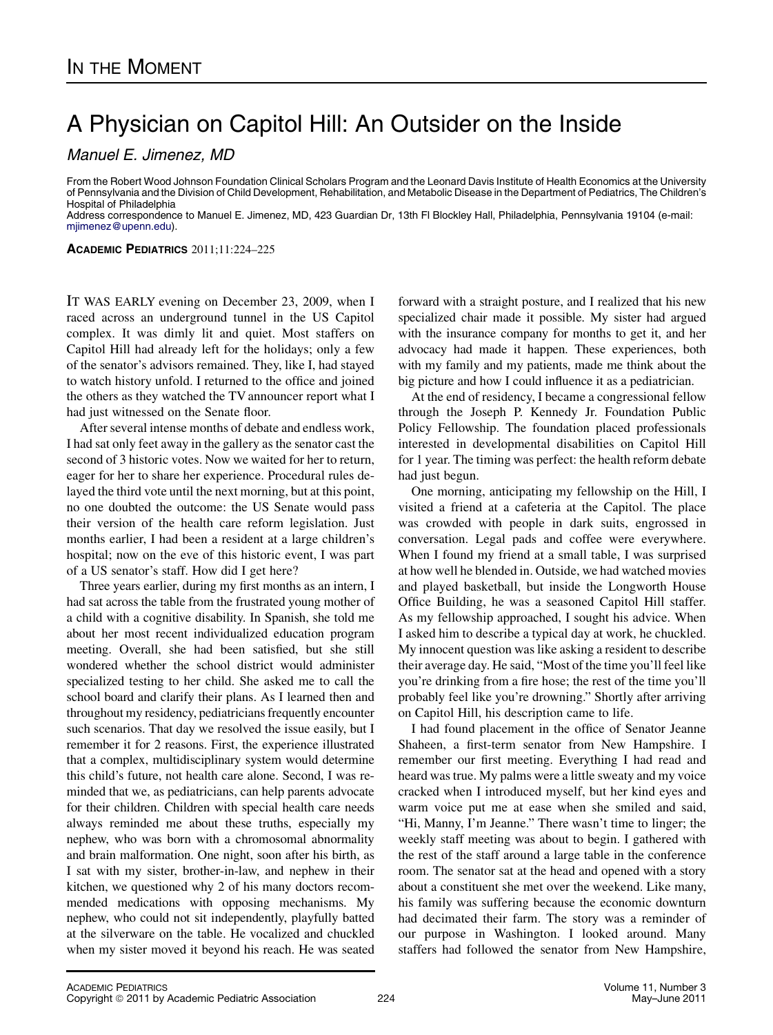## A Physician on Capitol Hill: An Outsider on the Inside

Manuel E. Jimenez, MD

From the Robert Wood Johnson Foundation Clinical Scholars Program and the Leonard Davis Institute of Health Economics at the University of Pennsylvania and the Division of Child Development, Rehabilitation, and Metabolic Disease in the Department of Pediatrics, The Children's Hospital of Philadelphia

Address correspondence to Manuel E. Jimenez, MD, 423 Guardian Dr, 13th Fl Blockley Hall, Philadelphia, Pennsylvania 19104 (e-mail: [mjimenez@upenn.edu\)](mailto:mjimenez@upenn.edu).

ACADEMIC PEDIATRICS 2011;11:224–225

IT WAS EARLY evening on December 23, 2009, when I raced across an underground tunnel in the US Capitol complex. It was dimly lit and quiet. Most staffers on Capitol Hill had already left for the holidays; only a few of the senator's advisors remained. They, like I, had stayed to watch history unfold. I returned to the office and joined the others as they watched the TV announcer report what I had just witnessed on the Senate floor.

After several intense months of debate and endless work, I had sat only feet away in the gallery as the senator cast the second of 3 historic votes. Now we waited for her to return, eager for her to share her experience. Procedural rules delayed the third vote until the next morning, but at this point, no one doubted the outcome: the US Senate would pass their version of the health care reform legislation. Just months earlier, I had been a resident at a large children's hospital; now on the eve of this historic event, I was part of a US senator's staff. How did I get here?

Three years earlier, during my first months as an intern, I had sat across the table from the frustrated young mother of a child with a cognitive disability. In Spanish, she told me about her most recent individualized education program meeting. Overall, she had been satisfied, but she still wondered whether the school district would administer specialized testing to her child. She asked me to call the school board and clarify their plans. As I learned then and throughout my residency, pediatricians frequently encounter such scenarios. That day we resolved the issue easily, but I remember it for 2 reasons. First, the experience illustrated that a complex, multidisciplinary system would determine this child's future, not health care alone. Second, I was reminded that we, as pediatricians, can help parents advocate for their children. Children with special health care needs always reminded me about these truths, especially my nephew, who was born with a chromosomal abnormality and brain malformation. One night, soon after his birth, as I sat with my sister, brother-in-law, and nephew in their kitchen, we questioned why 2 of his many doctors recommended medications with opposing mechanisms. My nephew, who could not sit independently, playfully batted at the silverware on the table. He vocalized and chuckled when my sister moved it beyond his reach. He was seated forward with a straight posture, and I realized that his new specialized chair made it possible. My sister had argued with the insurance company for months to get it, and her advocacy had made it happen. These experiences, both with my family and my patients, made me think about the big picture and how I could influence it as a pediatrician.

At the end of residency, I became a congressional fellow through the Joseph P. Kennedy Jr. Foundation Public Policy Fellowship. The foundation placed professionals interested in developmental disabilities on Capitol Hill for 1 year. The timing was perfect: the health reform debate had just begun.

One morning, anticipating my fellowship on the Hill, I visited a friend at a cafeteria at the Capitol. The place was crowded with people in dark suits, engrossed in conversation. Legal pads and coffee were everywhere. When I found my friend at a small table, I was surprised at how well he blended in. Outside, we had watched movies and played basketball, but inside the Longworth House Office Building, he was a seasoned Capitol Hill staffer. As my fellowship approached, I sought his advice. When I asked him to describe a typical day at work, he chuckled. My innocent question was like asking a resident to describe their average day. He said, "Most of the time you'll feel like you're drinking from a fire hose; the rest of the time you'll probably feel like you're drowning." Shortly after arriving on Capitol Hill, his description came to life.

I had found placement in the office of Senator Jeanne Shaheen, a first-term senator from New Hampshire. I remember our first meeting. Everything I had read and heard was true. My palms were a little sweaty and my voice cracked when I introduced myself, but her kind eyes and warm voice put me at ease when she smiled and said, "Hi, Manny, I'm Jeanne." There wasn't time to linger; the weekly staff meeting was about to begin. I gathered with the rest of the staff around a large table in the conference room. The senator sat at the head and opened with a story about a constituent she met over the weekend. Like many, his family was suffering because the economic downturn had decimated their farm. The story was a reminder of our purpose in Washington. I looked around. Many staffers had followed the senator from New Hampshire,